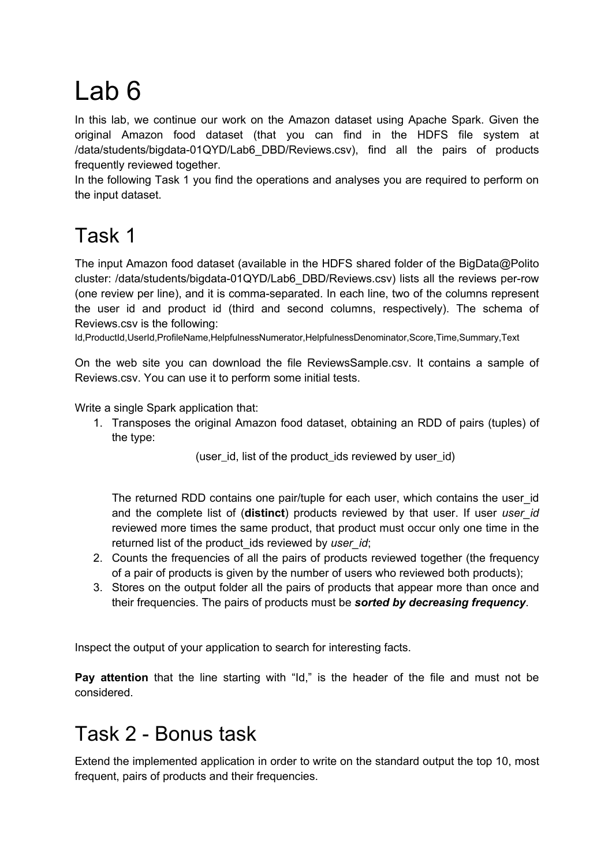## Lab 6

In this lab, we continue our work on the Amazon dataset using Apache Spark. Given the original Amazon food dataset (that you can find in the HDFS file system at /data/students/bigdata-01QYD/Lab6\_DBD/Reviews.csv), find all the pairs of products frequently reviewed together.

In the following Task 1 you find the operations and analyses you are required to perform on the input dataset.

## Task 1

The input Amazon food dataset (available in the HDFS shared folder of the BigData@Polito cluster: /data/students/bigdata-01QYD/Lab6\_DBD/Reviews.csv) lists all the reviews per-row (one review per line), and it is comma-separated. In each line, two of the columns represent the user id and product id (third and second columns, respectively). The schema of Reviews.csv is the following:

Id,ProductId,UserId,ProfileName,HelpfulnessNumerator,HelpfulnessDenominator,Score,Time,Summary,Text

On the web site you can download the file ReviewsSample.csv. It contains a sample of Reviews.csv. You can use it to perform some initial tests.

Write a single Spark application that:

1. Transposes the original Amazon food dataset, obtaining an RDD of pairs (tuples) of the type:

(user id, list of the product ids reviewed by user id)

The returned RDD contains one pair/tuple for each user, which contains the user\_id and the complete list of (**distinct**) products reviewed by that user. If user *user\_id* reviewed more times the same product, that product must occur only one time in the returned list of the product ids reviewed by *user id*;

- 2. Counts the frequencies of all the pairs of products reviewed together (the frequency of a pair of products is given by the number of users who reviewed both products);
- 3. Stores on the output folder all the pairs of products that appear more than once and their frequencies. The pairs of products must be *sorted by decreasing frequency*.

Inspect the output of your application to search for interesting facts.

**Pay attention** that the line starting with "Id," is the header of the file and must not be considered.

## Task 2 - Bonus task

Extend the implemented application in order to write on the standard output the top 10, most frequent, pairs of products and their frequencies.